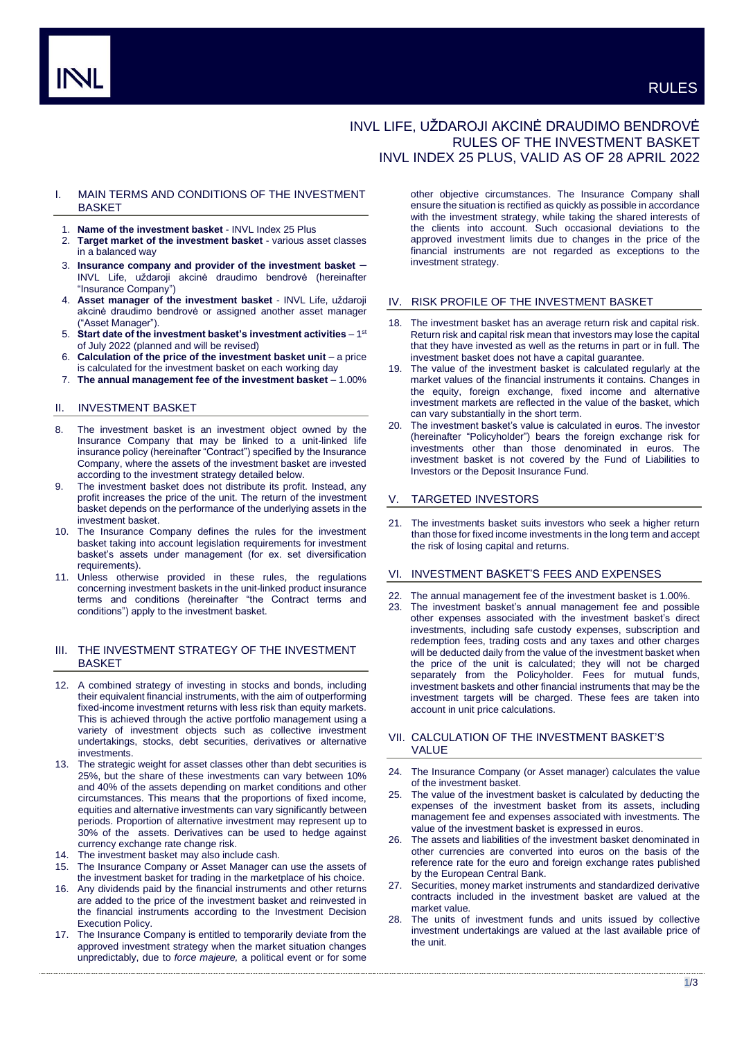# INVL LIFE, UŽDAROJI AKCINĖ DRAUDIMO BENDROVĖ RULES OF THE INVESTMENT BASKET INVL INDEX 25 PLUS, VALID AS OF 28 APRIL 2022

## I. MAIN TERMS AND CONDITIONS OF THE INVESTMENT **BASKET**

- 1. **Name of the investment basket** INVL Index 25 Plus
- 2. **Target market of the investment basket** various asset classes in a balanced way
- 3. **Insurance company and provider of the investment basket** INVL Life, uždaroji akcinė draudimo bendrovė (hereinafter "Insurance Company")
- 4. **Asset manager of the investment basket** INVL Life, uždaroji akcinė draudimo bendrovė or assigned another asset manager ("Asset Manager").
- 5. Start date of the investment basket's investment activities 1<sup>st</sup> of July 2022 (planned and will be revised)
- 6. **Calculation of the price of the investment basket unit**  a price is calculated for the investment basket on each working day
- 7. **The annual management fee of the investment basket** 1.00%

## II. INVESTMENT BASKET

- 8. The investment basket is an investment object owned by the Insurance Company that may be linked to a unit-linked life insurance policy (hereinafter "Contract") specified by the Insurance Company, where the assets of the investment basket are invested according to the investment strategy detailed below.
- 9. The investment basket does not distribute its profit. Instead, any profit increases the price of the unit. The return of the investment basket depends on the performance of the underlying assets in the investment basket.
- 10. The Insurance Company defines the rules for the investment basket taking into account legislation requirements for investment basket's assets under management (for ex. set diversification requirements).
- 11. Unless otherwise provided in these rules, the regulations concerning investment baskets in the unit-linked product insurance terms and conditions (hereinafter "the Contract terms and conditions") apply to the investment basket.

## III. THE INVESTMENT STRATEGY OF THE INVESTMENT BASKET

- 12. A combined strategy of investing in stocks and bonds, including their equivalent financial instruments, with the aim of outperforming fixed-income investment returns with less risk than equity markets. This is achieved through the active portfolio management using a variety of investment objects such as collective investment undertakings, stocks, debt securities, derivatives or alternative **investments**
- 13. The strategic weight for asset classes other than debt securities is 25%, but the share of these investments can vary between 10% and 40% of the assets depending on market conditions and other circumstances. This means that the proportions of fixed income, equities and alternative investments can vary significantly between periods. Proportion of alternative investment may represent up to 30% of the assets. Derivatives can be used to hedge against currency exchange rate change risk.
- 14. The investment basket may also include cash.
- 15. The Insurance Company or Asset Manager can use the assets of the investment basket for trading in the marketplace of his choice.
- 16. Any dividends paid by the financial instruments and other returns are added to the price of the investment basket and reinvested in the financial instruments according to the Investment Decision Execution Policy.
- 17. The Insurance Company is entitled to temporarily deviate from the approved investment strategy when the market situation changes unpredictably, due to *force majeure,* a political event or for some

other objective circumstances. The Insurance Company shall ensure the situation is rectified as quickly as possible in accordance with the investment strategy, while taking the shared interests of the clients into account. Such occasional deviations to the approved investment limits due to changes in the price of the financial instruments are not regarded as exceptions to the investment strategy.

#### IV. RISK PROFILE OF THE INVESTMENT BASKET

- 18. The investment basket has an average return risk and capital risk. Return risk and capital risk mean that investors may lose the capital that they have invested as well as the returns in part or in full. The investment basket does not have a capital guarantee.
- 19. The value of the investment basket is calculated regularly at the market values of the financial instruments it contains. Changes in the equity, foreign exchange, fixed income and alternative investment markets are reflected in the value of the basket, which can vary substantially in the short term.
- The investment basket's value is calculated in euros. The investor (hereinafter "Policyholder") bears the foreign exchange risk for investments other than those denominated in euros. The investment basket is not covered by the Fund of Liabilities to Investors or the Deposit Insurance Fund.

#### V. TARGETED INVESTORS

21. The investments basket suits investors who seek a higher return than those for fixed income investments in the long term and accept the risk of losing capital and returns.

## VI. INVESTMENT BASKET'S FEES AND EXPENSES

- 22. The annual management fee of the investment basket is 1.00%.
- 23. The investment basket's annual management fee and possible other expenses associated with the investment basket's direct investments, including safe custody expenses, subscription and redemption fees, trading costs and any taxes and other charges will be deducted daily from the value of the investment basket when the price of the unit is calculated; they will not be charged separately from the Policyholder. Fees for mutual funds, investment baskets and other financial instruments that may be the investment targets will be charged. These fees are taken into account in unit price calculations.

## VII. CALCULATION OF THE INVESTMENT BASKET'S VALUE

- 24. The Insurance Company (or Asset manager) calculates the value of the investment basket.
- The value of the investment basket is calculated by deducting the expenses of the investment basket from its assets, including management fee and expenses associated with investments. The value of the investment basket is expressed in euros.
- 26. The assets and liabilities of the investment basket denominated in other currencies are converted into euros on the basis of the reference rate for the euro and foreign exchange rates published by the European Central Bank.
- 27. Securities, money market instruments and standardized derivative contracts included in the investment basket are valued at the market value.
- 28. The units of investment funds and units issued by collective investment undertakings are valued at the last available price of the unit.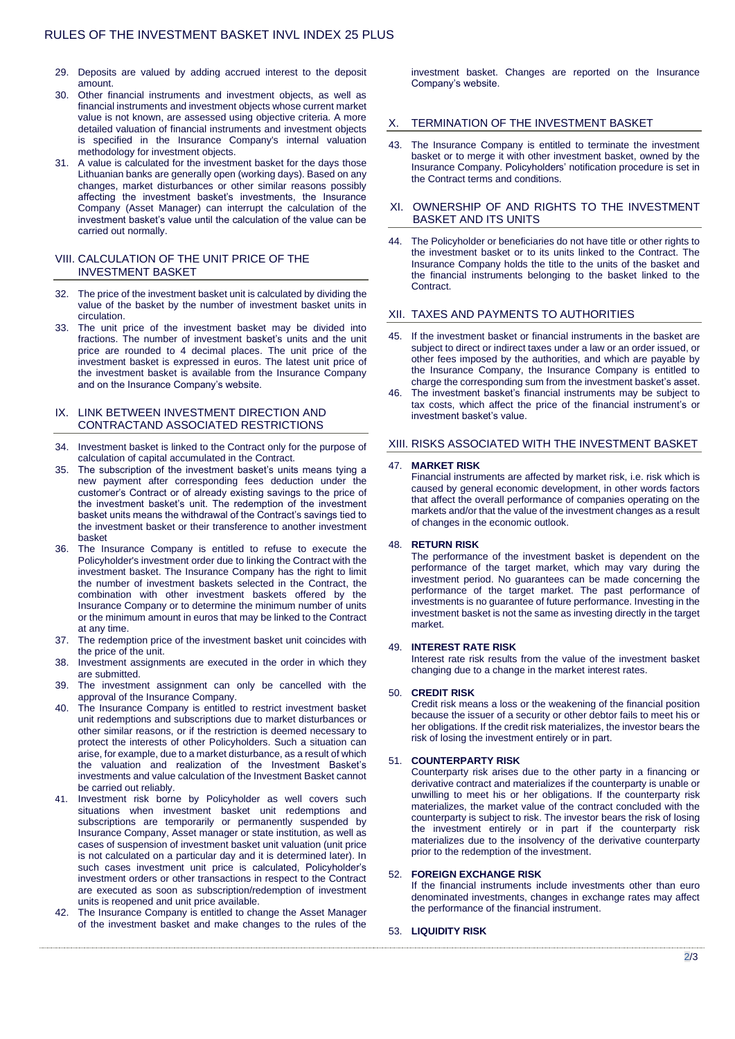- 29. Deposits are valued by adding accrued interest to the deposit amount.
- 30. Other financial instruments and investment objects, as well as financial instruments and investment objects whose current market value is not known, are assessed using objective criteria. A more detailed valuation of financial instruments and investment objects is specified in the Insurance Company's internal valuation methodology for investment objects.
- 31. A value is calculated for the investment basket for the days those Lithuanian banks are generally open (working days). Based on any changes, market disturbances or other similar reasons possibly affecting the investment basket's investments, the Insurance Company (Asset Manager) can interrupt the calculation of the investment basket's value until the calculation of the value can be carried out normally.

## VIII. CALCULATION OF THE UNIT PRICE OF THE INVESTMENT BASKET

- 32. The price of the investment basket unit is calculated by dividing the value of the basket by the number of investment basket units in circulation.
- 33. The unit price of the investment basket may be divided into fractions. The number of investment basket's units and the unit price are rounded to 4 decimal places. The unit price of the investment basket is expressed in euros. The latest unit price of the investment basket is available from the Insurance Company and on the Insurance Company's website.

## IX. LINK BETWEEN INVESTMENT DIRECTION AND CONTRACTAND ASSOCIATED RESTRICTIONS

- 34. Investment basket is linked to the Contract only for the purpose of calculation of capital accumulated in the Contract.
- 35. The subscription of the investment basket's units means tying a new payment after corresponding fees deduction under the customer's Contract or of already existing savings to the price of the investment basket's unit. The redemption of the investment basket units means the withdrawal of the Contract's savings tied to the investment basket or their transference to another investment basket
- 36. The Insurance Company is entitled to refuse to execute the Policyholder's investment order due to linking the Contract with the investment basket. The Insurance Company has the right to limit the number of investment baskets selected in the Contract, the combination with other investment baskets offered by the Insurance Company or to determine the minimum number of units or the minimum amount in euros that may be linked to the Contract at any time.
- 37. The redemption price of the investment basket unit coincides with the price of the unit.
- 38. Investment assignments are executed in the order in which they are submitted.
- 39. The investment assignment can only be cancelled with the approval of the Insurance Company.
- 40. The Insurance Company is entitled to restrict investment basket unit redemptions and subscriptions due to market disturbances or other similar reasons, or if the restriction is deemed necessary to protect the interests of other Policyholders. Such a situation can arise, for example, due to a market disturbance, as a result of which the valuation and realization of the Investment Basket's investments and value calculation of the Investment Basket cannot be carried out reliably.
- 41. Investment risk borne by Policyholder as well covers such situations when investment basket unit redemptions and subscriptions are temporarily or permanently suspended by Insurance Company, Asset manager or state institution, as well as cases of suspension of investment basket unit valuation (unit price is not calculated on a particular day and it is determined later). In such cases investment unit price is calculated, Policyholder's investment orders or other transactions in respect to the Contract are executed as soon as subscription/redemption of investment units is reopened and unit price available.
- 42. The Insurance Company is entitled to change the Asset Manager of the investment basket and make changes to the rules of the

investment basket. Changes are reported on the Insurance Company's website.

## TERMINATION OF THE INVESTMENT BASKET

43. The Insurance Company is entitled to terminate the investment basket or to merge it with other investment basket, owned by the Insurance Company. Policyholders' notification procedure is set in the Contract terms and conditions.

#### XI. OWNERSHIP OF AND RIGHTS TO THE INVESTMENT BASKET AND ITS UNITS

44. The Policyholder or beneficiaries do not have title or other rights to the investment basket or to its units linked to the Contract. The Insurance Company holds the title to the units of the basket and the financial instruments belonging to the basket linked to the Contract.

#### XII. TAXES AND PAYMENTS TO AUTHORITIES

- 45. If the investment basket or financial instruments in the basket are subject to direct or indirect taxes under a law or an order issued, or other fees imposed by the authorities, and which are payable by the Insurance Company, the Insurance Company is entitled to charge the corresponding sum from the investment basket's asset.
- 46. The investment basket's financial instruments may be subject to tax costs, which affect the price of the financial instrument's or investment basket's value.

#### XIII. RISKS ASSOCIATED WITH THE INVESTMENT BASKET

#### 47. **MARKET RISK**

Financial instruments are affected by market risk, i.e. risk which is caused by general economic development, in other words factors that affect the overall performance of companies operating on the markets and/or that the value of the investment changes as a result of changes in the economic outlook.

## 48. **RETURN RISK**

The performance of the investment basket is dependent on the performance of the target market, which may vary during the investment period. No guarantees can be made concerning the performance of the target market. The past performance of investments is no guarantee of future performance. Investing in the investment basket is not the same as investing directly in the target market.

#### 49. **INTEREST RATE RISK**

Interest rate risk results from the value of the investment basket changing due to a change in the market interest rates.

### 50. **CREDIT RISK**

Credit risk means a loss or the weakening of the financial position because the issuer of a security or other debtor fails to meet his or her obligations. If the credit risk materializes, the investor bears the risk of losing the investment entirely or in part.

### 51. **COUNTERPARTY RISK**

Counterparty risk arises due to the other party in a financing or derivative contract and materializes if the counterparty is unable or unwilling to meet his or her obligations. If the counterparty risk materializes, the market value of the contract concluded with the counterparty is subject to risk. The investor bears the risk of losing the investment entirely or in part if the counterparty risk materializes due to the insolvency of the derivative counterparty prior to the redemption of the investment.

#### 52. **FOREIGN EXCHANGE RISK**

If the financial instruments include investments other than euro denominated investments, changes in exchange rates may affect the performance of the financial instrument.

#### 53. **LIQUIDITY RISK**